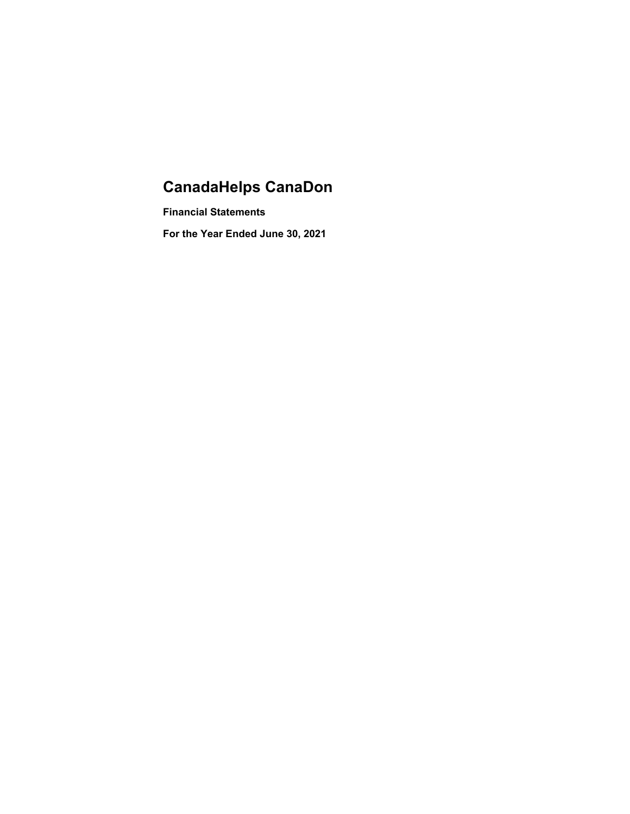# **CanadaHelps CanaDon**

**Financial Statements For the Year Ended June 30, 2021**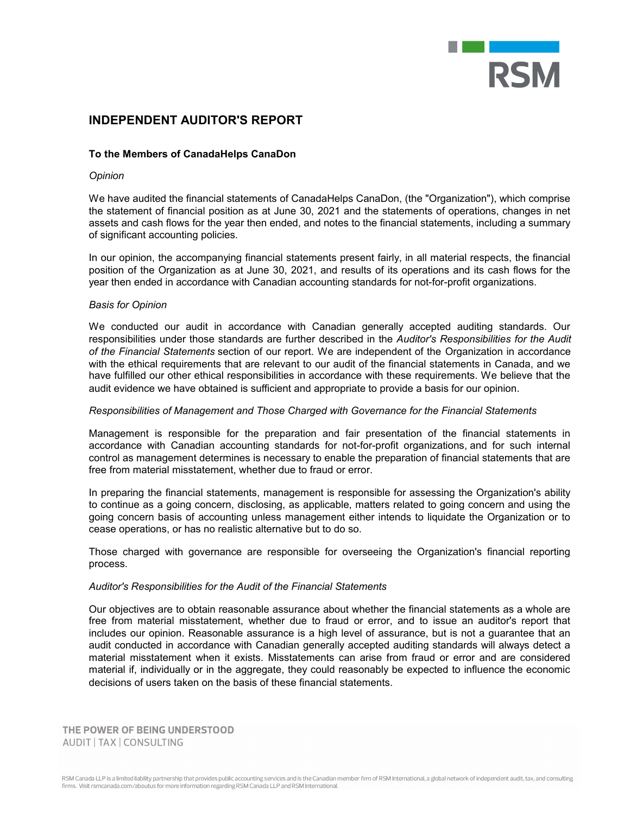

# **INDEPENDENT AUDITOR'S REPORT**

## **To the Members of CanadaHelps CanaDon**

## *Opinion*

We have audited the financial statements of CanadaHelps CanaDon, (the "Organization"), which comprise the statement of financial position as at June 30, 2021 and the statements of operations, changes in net assets and cash flows for the year then ended, and notes to the financial statements, including a summary of significant accounting policies.

In our opinion, the accompanying financial statements present fairly, in all material respects, the financial position of the Organization as at June 30, 2021, and results of its operations and its cash flows for the year then ended in accordance with Canadian accounting standards for not-for-profit organizations.

## *Basis for Opinion*

We conducted our audit in accordance with Canadian generally accepted auditing standards. Our responsibilities under those standards are further described in the *Auditor's Responsibilities for the Audit of the Financial Statements* section of our report. We are independent of the Organization in accordance with the ethical requirements that are relevant to our audit of the financial statements in Canada, and we have fulfilled our other ethical responsibilities in accordance with these requirements. We believe that the audit evidence we have obtained is sufficient and appropriate to provide a basis for our opinion.

#### *Responsibilities of Management and Those Charged with Governance for the Financial Statements*

Management is responsible for the preparation and fair presentation of the financial statements in accordance with Canadian accounting standards for not-for-profit organizations, and for such internal control as management determines is necessary to enable the preparation of financial statements that are free from material misstatement, whether due to fraud or error.

In preparing the financial statements, management is responsible for assessing the Organization's ability to continue as a going concern, disclosing, as applicable, matters related to going concern and using the going concern basis of accounting unless management either intends to liquidate the Organization or to cease operations, or has no realistic alternative but to do so.

Those charged with governance are responsible for overseeing the Organization's financial reporting process.

#### *Auditor's Responsibilities for the Audit of the Financial Statements*

Our objectives are to obtain reasonable assurance about whether the financial statements as a whole are free from material misstatement, whether due to fraud or error, and to issue an auditor's report that includes our opinion. Reasonable assurance is a high level of assurance, but is not a guarantee that an audit conducted in accordance with Canadian generally accepted auditing standards will always detect a material misstatement when it exists. Misstatements can arise from fraud or error and are considered material if, individually or in the aggregate, they could reasonably be expected to influence the economic decisions of users taken on the basis of these financial statements.

THE POWER OF BEING UNDERSTOOD AUDIT | TAX | CONSULTING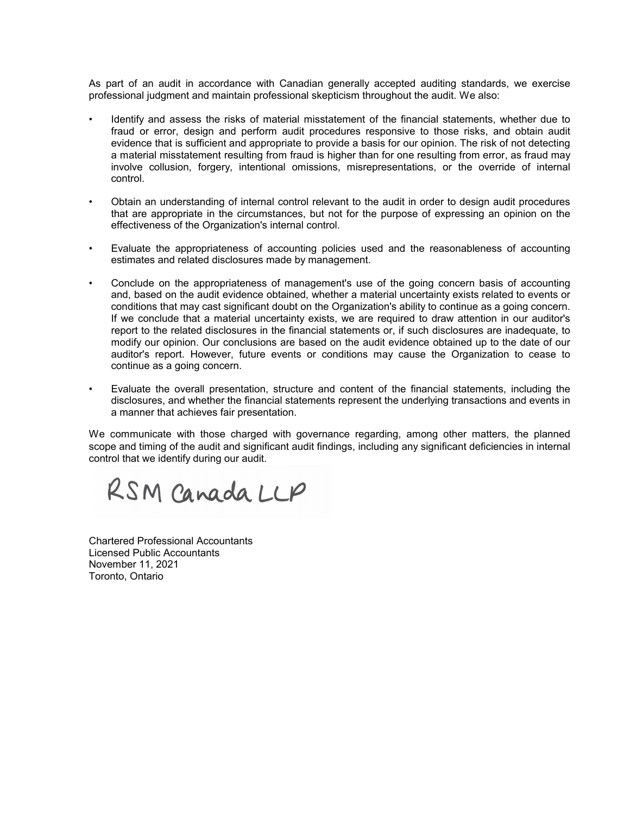As part of an audit in accordance with Canadian generally accepted auditing standards, we exercise professional judgment and maintain professional skepticism throughout the audit. We also:

- Identify and assess the risks of material misstatement of the financial statements, whether due to fraud or error, design and perform audit procedures responsive to those risks, and obtain audit evidence that is sufficient and appropriate to provide a basis for our opinion. The risk of not detecting a material misstatement resulting from fraud is higher than for one resulting from error, as fraud may involve collusion, forgery, intentional omissions, misrepresentations, or the override of internal control.
- Obtain an understanding of internal control relevant to the audit in order to design audit procedures that are appropriate in the circumstances, but not for the purpose of expressing an opinion on the effectiveness of the Organization's internal control.
- Evaluate the appropriateness of accounting policies used and the reasonableness of accounting estimates and related disclosures made by management.
- Conclude on the appropriateness of management's use of the going concern basis of accounting and, based on the audit evidence obtained, whether a material uncertainty exists related to events or conditions that may cast significant doubt on the Organization's ability to continue as a going concern. If we conclude that a material uncertainty exists, we are required to draw attention in our auditor's report to the related disclosures in the financial statements or, if such disclosures are inadequate, to modify our opinion. Our conclusions are based on the audit evidence obtained up to the date of our auditor's report. However, future events or conditions may cause the Organization to cease to continue as a going concern.
- Evaluate the overall presentation, structure and content of the financial statements, including the disclosures, and whether the financial statements represent the underlying transactions and events in a manner that achieves fair presentation.

We communicate with those charged with governance regarding, among other matters, the planned scope and timing of the audit and significant audit findings, including any significant deficiencies in internal control that we identify during our audit.

RSM Canada LLP

Chartered Professional Accountants Licensed Public Accountants November 11, 2021 Toronto, Ontario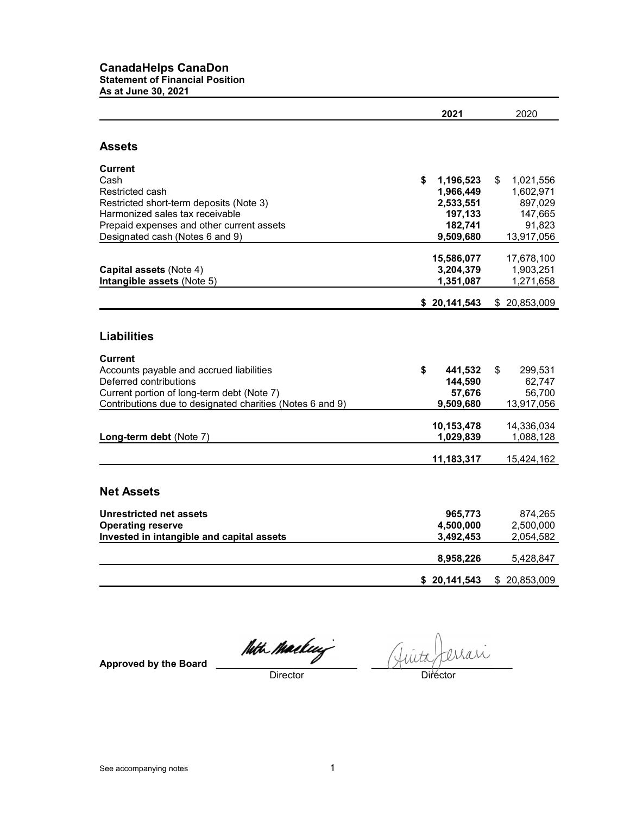|                                                           | 2021            | 2020            |
|-----------------------------------------------------------|-----------------|-----------------|
| <b>Assets</b>                                             |                 |                 |
| <b>Current</b>                                            |                 |                 |
| Cash                                                      | 1,196,523<br>\$ | 1,021,556<br>\$ |
| Restricted cash                                           | 1,966,449       | 1,602,971       |
| Restricted short-term deposits (Note 3)                   | 2,533,551       | 897,029         |
| Harmonized sales tax receivable                           | 197,133         | 147,665         |
| Prepaid expenses and other current assets                 | 182,741         | 91,823          |
| Designated cash (Notes 6 and 9)                           | 9,509,680       | 13,917,056      |
|                                                           |                 |                 |
|                                                           | 15,586,077      | 17,678,100      |
| Capital assets (Note 4)                                   | 3,204,379       | 1,903,251       |
| Intangible assets (Note 5)                                | 1,351,087       | 1,271,658       |
|                                                           | \$20,141,543    | \$20,853,009    |
|                                                           |                 |                 |
| <b>Liabilities</b>                                        |                 |                 |
| <b>Current</b>                                            |                 |                 |
| Accounts payable and accrued liabilities                  | \$<br>441,532   | \$<br>299,531   |
| Deferred contributions                                    | 144,590         | 62,747          |
| Current portion of long-term debt (Note 7)                | 57,676          | 56,700          |
| Contributions due to designated charities (Notes 6 and 9) | 9,509,680       | 13,917,056      |
|                                                           | 10,153,478      | 14,336,034      |
| Long-term debt (Note 7)                                   | 1,029,839       | 1,088,128       |
|                                                           |                 |                 |
|                                                           | 11,183,317      | 15,424,162      |
|                                                           |                 |                 |
| <b>Net Assets</b>                                         |                 |                 |
| <b>Unrestricted net assets</b>                            | 965,773         | 874,265         |
| <b>Operating reserve</b>                                  | 4,500,000       | 2,500,000       |
| Invested in intangible and capital assets                 | 3,492,453       | 2,054,582       |
|                                                           | 8,958,226       | 5,428,847       |
|                                                           |                 |                 |
|                                                           | \$20,141,543    | \$20,853,009    |

Approved by the Board

Juita ari

 $\overline{Dir<sub>ector</sub>}$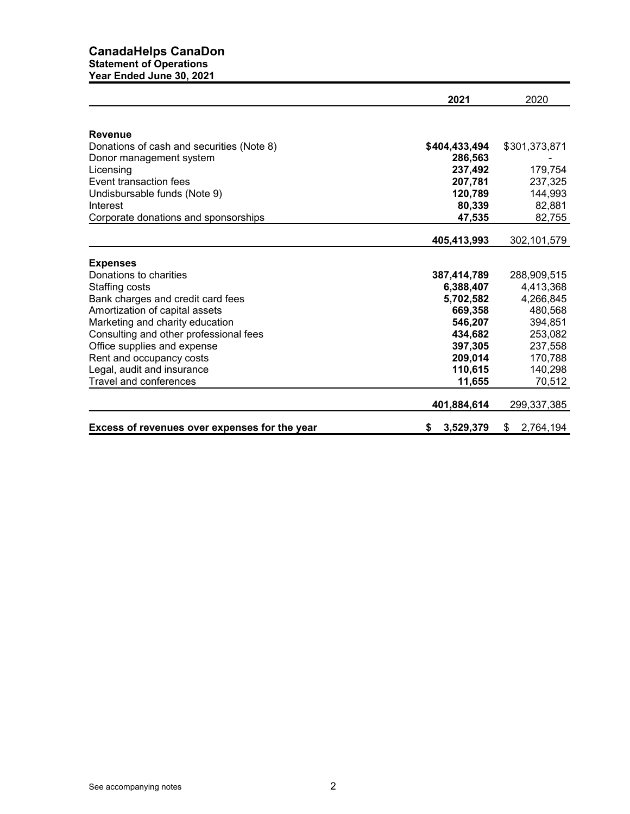# **CanadaHelps CanaDon Statement of Operations**

**Year Ended June 30, 2021**

|                                               | 2021            | 2020            |
|-----------------------------------------------|-----------------|-----------------|
| <b>Revenue</b>                                |                 |                 |
| Donations of cash and securities (Note 8)     | \$404,433,494   | \$301,373,871   |
| Donor management system                       | 286,563         |                 |
| Licensing                                     | 237,492         | 179,754         |
| Event transaction fees                        | 207,781         | 237,325         |
| Undisbursable funds (Note 9)                  | 120,789         | 144,993         |
| Interest                                      | 80,339          | 82,881          |
| Corporate donations and sponsorships          | 47,535          | 82,755          |
|                                               |                 |                 |
|                                               | 405,413,993     | 302,101,579     |
|                                               |                 |                 |
| <b>Expenses</b>                               |                 |                 |
| Donations to charities                        | 387,414,789     | 288,909,515     |
| Staffing costs                                | 6,388,407       | 4,413,368       |
| Bank charges and credit card fees             | 5,702,582       | 4,266,845       |
| Amortization of capital assets                | 669,358         | 480,568         |
| Marketing and charity education               | 546,207         | 394,851         |
| Consulting and other professional fees        | 434,682         | 253,082         |
| Office supplies and expense                   | 397,305         | 237,558         |
| Rent and occupancy costs                      | 209,014         | 170,788         |
| Legal, audit and insurance                    | 110,615         | 140,298         |
| Travel and conferences                        | 11,655          | 70,512          |
|                                               | 401,884,614     | 299,337,385     |
| Excess of revenues over expenses for the year | 3,529,379<br>\$ | \$<br>2,764,194 |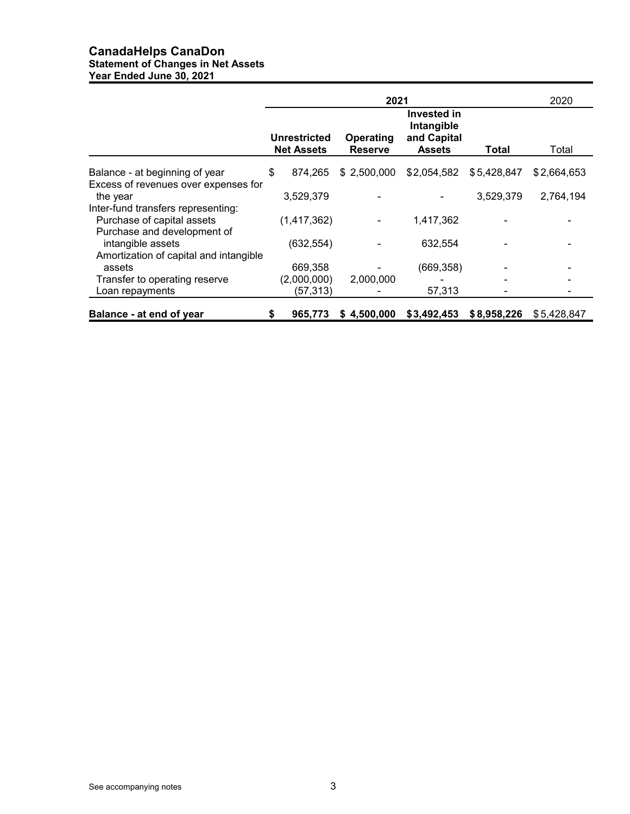# **CanadaHelps CanaDon Statement of Changes in Net Assets Year Ended June 30, 2021**

|                                        | 2021 |                                          |                             |                                                                  | 2020        |             |
|----------------------------------------|------|------------------------------------------|-----------------------------|------------------------------------------------------------------|-------------|-------------|
|                                        |      | <b>Unrestricted</b><br><b>Net Assets</b> | Operating<br><b>Reserve</b> | <b>Invested in</b><br>Intangible<br>and Capital<br><b>Assets</b> | Total       | Total       |
| Balance - at beginning of year         | \$   | 874.265                                  | \$2,500,000                 | \$2,054,582                                                      | \$5,428,847 | \$2,664,653 |
| Excess of revenues over expenses for   |      |                                          |                             |                                                                  |             |             |
| the year                               |      | 3,529,379                                |                             |                                                                  | 3,529,379   | 2,764,194   |
| Inter-fund transfers representing:     |      |                                          |                             |                                                                  |             |             |
| Purchase of capital assets             |      | (1, 417, 362)                            |                             | 1,417,362                                                        |             |             |
| Purchase and development of            |      |                                          |                             |                                                                  |             |             |
| intangible assets                      |      | (632, 554)                               |                             | 632,554                                                          |             |             |
| Amortization of capital and intangible |      |                                          |                             |                                                                  |             |             |
| assets                                 |      | 669,358                                  |                             | (669, 358)                                                       |             |             |
| Transfer to operating reserve          |      | (2,000,000)                              | 2,000,000                   |                                                                  |             |             |
| Loan repayments                        |      | (57, 313)                                |                             | 57,313                                                           |             |             |
| Balance - at end of year               | \$   | 965,773                                  | \$4,500,000                 | \$3,492,453                                                      | \$8,958,226 | \$5,428,847 |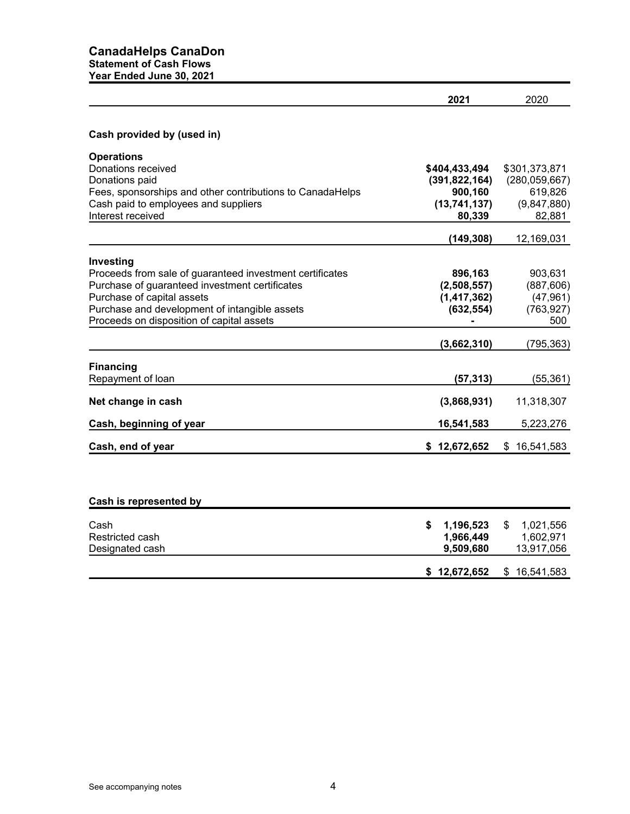|                                                                       | 2021            | 2020            |           |
|-----------------------------------------------------------------------|-----------------|-----------------|-----------|
| Cash provided by (used in)                                            |                 |                 |           |
| <b>Operations</b>                                                     |                 |                 |           |
| Donations received                                                    | \$404,433,494   | \$301,373,871   |           |
| Donations paid                                                        | (391, 822, 164) | (280, 059, 667) |           |
| Fees, sponsorships and other contributions to CanadaHelps             | 900,160         | 619,826         |           |
| Cash paid to employees and suppliers                                  | (13,741,137)    | (9,847,880)     |           |
| Interest received                                                     | 80,339          |                 | 82,881    |
|                                                                       | (149, 308)      | 12,169,031      |           |
|                                                                       |                 |                 |           |
| Investing<br>Proceeds from sale of guaranteed investment certificates | 896,163         | 903,631         |           |
| Purchase of guaranteed investment certificates                        | (2,508,557)     | (887, 606)      |           |
| Purchase of capital assets                                            | (1, 417, 362)   |                 | (47, 961) |
| Purchase and development of intangible assets                         | (632, 554)      | (763, 927)      |           |
| Proceeds on disposition of capital assets                             |                 |                 | 500       |
|                                                                       |                 |                 |           |
|                                                                       | (3,662,310)     | (795, 363)      |           |
| <b>Financing</b>                                                      |                 |                 |           |
| Repayment of loan                                                     | (57, 313)       |                 | (55, 361) |
| Net change in cash                                                    | (3,868,931)     | 11,318,307      |           |
|                                                                       |                 |                 |           |
| Cash, beginning of year                                               | 16,541,583      | 5,223,276       |           |
| Cash, end of year                                                     | \$12,672,652    | \$16,541,583    |           |
|                                                                       |                 |                 |           |
| Cash is represented by                                                |                 |                 |           |
| Cash                                                                  | \$<br>1,196,523 | \$<br>1,021,556 |           |
| Restricted cash                                                       | 1,966,449       | 1,602,971       |           |
| Designated cash                                                       | 9,509,680       | 13,917,056      |           |

**\$ 12,672,652** \$ 16,541,583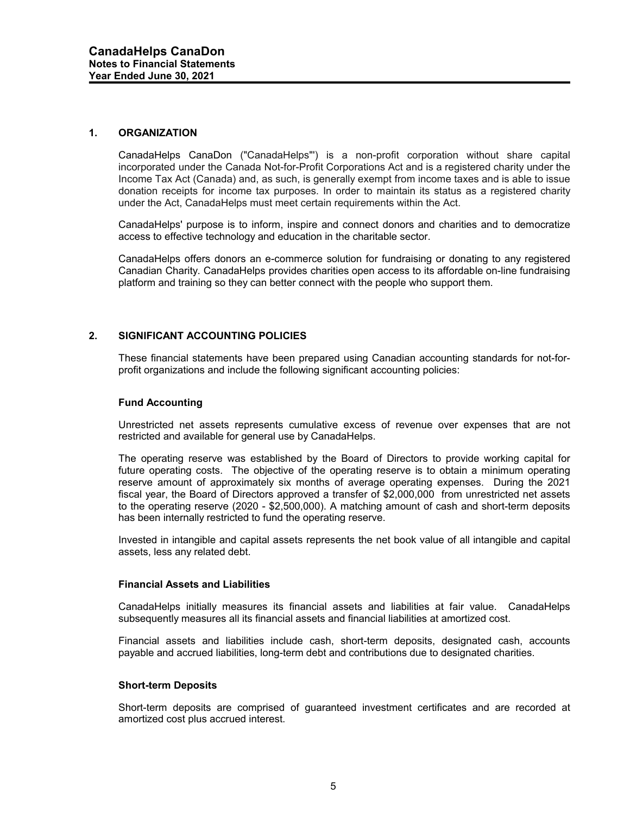## **1. ORGANIZATION**

CanadaHelps CanaDon ("CanadaHelps"') is a non-profit corporation without share capital incorporated under the Canada Not-for-Profit Corporations Act and is a registered charity under the Income Tax Act (Canada) and, as such, is generally exempt from income taxes and is able to issue donation receipts for income tax purposes. In order to maintain its status as a registered charity under the Act, CanadaHelps must meet certain requirements within the Act.

CanadaHelps' purpose is to inform, inspire and connect donors and charities and to democratize access to effective technology and education in the charitable sector.

CanadaHelps offers donors an e-commerce solution for fundraising or donating to any registered Canadian Charity. CanadaHelps provides charities open access to its affordable on-line fundraising platform and training so they can better connect with the people who support them.

# **2. SIGNIFICANT ACCOUNTING POLICIES**

These financial statements have been prepared using Canadian accounting standards for not-forprofit organizations and include the following significant accounting policies:

## **Fund Accounting**

Unrestricted net assets represents cumulative excess of revenue over expenses that are not restricted and available for general use by CanadaHelps.

The operating reserve was established by the Board of Directors to provide working capital for future operating costs. The objective of the operating reserve is to obtain a minimum operating reserve amount of approximately six months of average operating expenses. During the 2021 fiscal year, the Board of Directors approved a transfer of \$2,000,000 from unrestricted net assets to the operating reserve (2020 - \$2,500,000). A matching amount of cash and short-term deposits has been internally restricted to fund the operating reserve.

Invested in intangible and capital assets represents the net book value of all intangible and capital assets, less any related debt.

#### **Financial Assets and Liabilities**

CanadaHelps initially measures its financial assets and liabilities at fair value. CanadaHelps subsequently measures all its financial assets and financial liabilities at amortized cost.

Financial assets and liabilities include cash, short-term deposits, designated cash, accounts payable and accrued liabilities, long-term debt and contributions due to designated charities.

## **Short-term Deposits**

Short-term deposits are comprised of guaranteed investment certificates and are recorded at amortized cost plus accrued interest.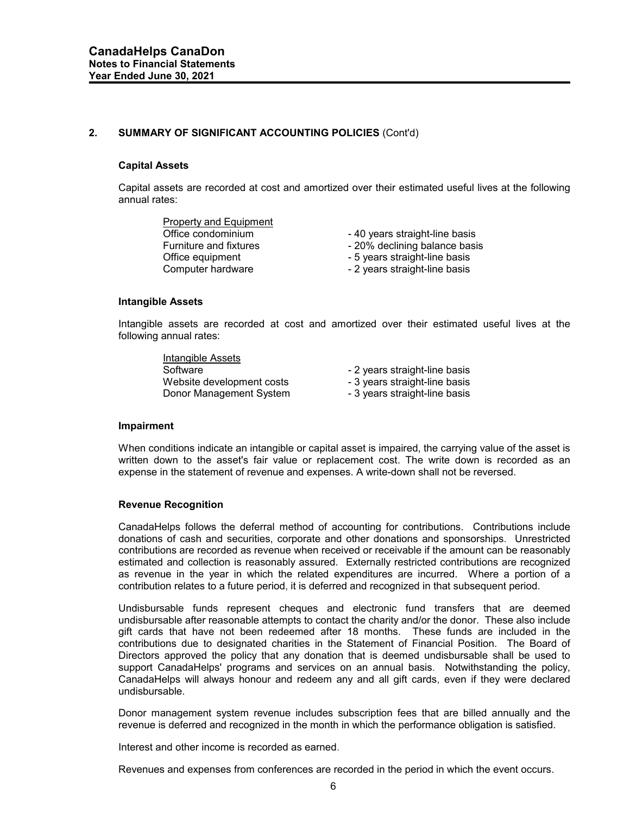# **2. SUMMARY OF SIGNIFICANT ACCOUNTING POLICIES** (Cont'd)

## **Capital Assets**

Capital assets are recorded at cost and amortized over their estimated useful lives at the following annual rates:

| Property and Equipment        |                                |
|-------------------------------|--------------------------------|
| Office condominium            | - 40 years straight-line basis |
| <b>Furniture and fixtures</b> | - 20% declining balance basis  |
| Office equipment              | - 5 years straight-line basis  |
| Computer hardware             | - 2 years straight-line basis  |

## **Intangible Assets**

Intangible assets are recorded at cost and amortized over their estimated useful lives at the following annual rates:

| Intangible Assets         |                               |
|---------------------------|-------------------------------|
| Software                  | - 2 years straight-line basis |
| Website development costs | - 3 years straight-line basis |
| Donor Management System   | - 3 years straight-line basis |

#### **Impairment**

When conditions indicate an intangible or capital asset is impaired, the carrying value of the asset is written down to the asset's fair value or replacement cost. The write down is recorded as an expense in the statement of revenue and expenses. A write-down shall not be reversed.

#### **Revenue Recognition**

CanadaHelps follows the deferral method of accounting for contributions. Contributions include donations of cash and securities, corporate and other donations and sponsorships. Unrestricted contributions are recorded as revenue when received or receivable if the amount can be reasonably estimated and collection is reasonably assured. Externally restricted contributions are recognized as revenue in the year in which the related expenditures are incurred. Where a portion of a contribution relates to a future period, it is deferred and recognized in that subsequent period.

Undisbursable funds represent cheques and electronic fund transfers that are deemed undisbursable after reasonable attempts to contact the charity and/or the donor. These also include gift cards that have not been redeemed after 18 months. These funds are included in the contributions due to designated charities in the Statement of Financial Position. The Board of Directors approved the policy that any donation that is deemed undisbursable shall be used to support CanadaHelps' programs and services on an annual basis. Notwithstanding the policy, CanadaHelps will always honour and redeem any and all gift cards, even if they were declared undisbursable.

Donor management system revenue includes subscription fees that are billed annually and the revenue is deferred and recognized in the month in which the performance obligation is satisfied.

Interest and other income is recorded as earned.

Revenues and expenses from conferences are recorded in the period in which the event occurs.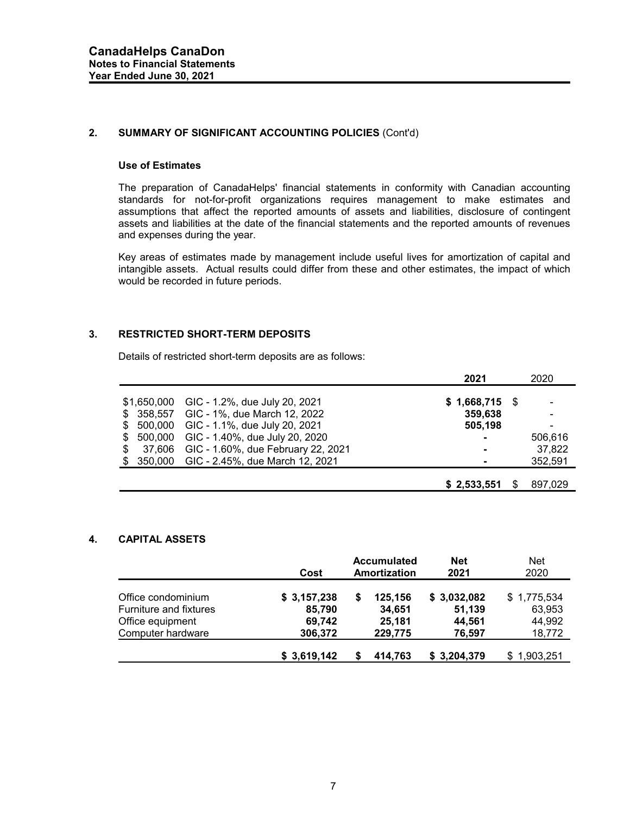# **2. SUMMARY OF SIGNIFICANT ACCOUNTING POLICIES** (Cont'd)

## **Use of Estimates**

The preparation of CanadaHelps' financial statements in conformity with Canadian accounting standards for not-for-profit organizations requires management to make estimates and assumptions that affect the reported amounts of assets and liabilities, disclosure of contingent assets and liabilities at the date of the financial statements and the reported amounts of revenues and expenses during the year.

Key areas of estimates made by management include useful lives for amortization of capital and intangible assets. Actual results could differ from these and other estimates, the impact of which would be recorded in future periods.

# **3. RESTRICTED SHORT-TERM DEPOSITS**

Details of restricted short-term deposits are as follows:

|              |                                            | 2021            | 2020    |
|--------------|--------------------------------------------|-----------------|---------|
| \$1,650,000  | GIC - 1.2%, due July 20, 2021              | $$1,668,715$ \$ |         |
|              | \$ 358,557 GIC - 1%, due March 12, 2022    | 359,638         |         |
|              | \$ 500,000 GIC - 1.1%, due July 20, 2021   | 505,198         | -       |
| \$500,000    | GIC - 1.40%, due July 20, 2020             |                 | 506,616 |
| \$<br>37,606 | GIC - 1.60%, due February 22, 2021         | ۰               | 37,822  |
|              | \$ 350,000 GIC - 2.45%, due March 12, 2021 |                 | 352,591 |
|              |                                            |                 |         |
|              |                                            | \$2,533,551     | 897.029 |

## **4. CAPITAL ASSETS**

|                               | Cost        |   | <b>Accumulated</b><br>Amortization | <b>Net</b><br>2021 | <b>Net</b><br>2020 |
|-------------------------------|-------------|---|------------------------------------|--------------------|--------------------|
| Office condominium            | \$3,157,238 | S | 125,156                            | \$3,032,082        | \$1,775,534        |
| <b>Furniture and fixtures</b> | 85,790      |   | 34,651                             | 51.139             | 63,953             |
| Office equipment              | 69,742      |   | 25,181                             | 44,561             | 44,992             |
| Computer hardware             | 306,372     |   | 229,775                            | 76,597             | 18,772             |
|                               | \$3,619,142 |   | 414.763                            | \$3,204,379        | 1,903,251          |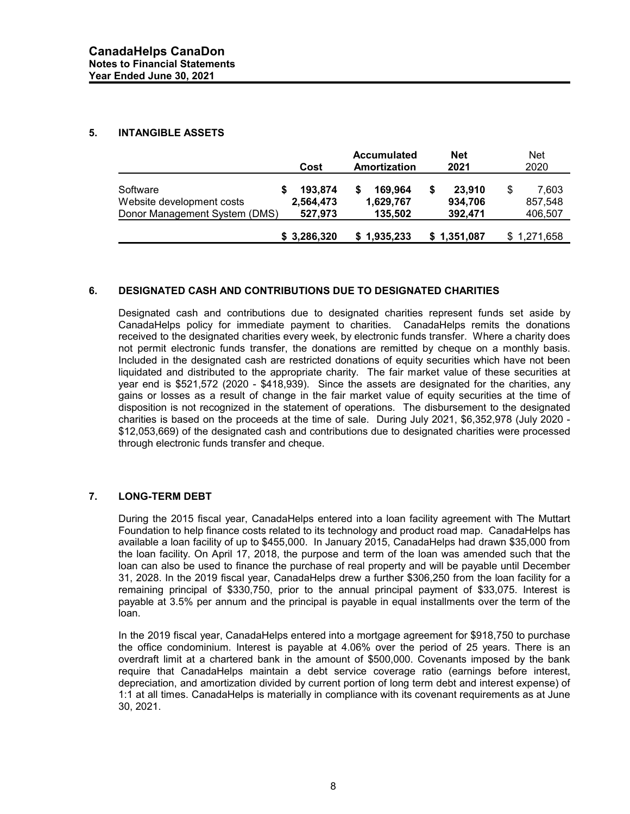# **5. INTANGIBLE ASSETS**

|                                                                        | Cost                            | <b>Accumulated</b><br>Amortization | <b>Net</b><br>2021                | <b>Net</b><br>2020               |
|------------------------------------------------------------------------|---------------------------------|------------------------------------|-----------------------------------|----------------------------------|
| Software<br>Website development costs<br>Donor Management System (DMS) | 193,874<br>2,564,473<br>527,973 | 169.964<br>1,629,767<br>135,502    | 23,910<br>S<br>934,706<br>392,471 | S<br>7,603<br>857,548<br>406,507 |
|                                                                        | \$3,286,320                     | \$1,935,233                        | \$1,351,087                       | \$1,271,658                      |

# **6. DESIGNATED CASH AND CONTRIBUTIONS DUE TO DESIGNATED CHARITIES**

Designated cash and contributions due to designated charities represent funds set aside by CanadaHelps policy for immediate payment to charities. CanadaHelps remits the donations received to the designated charities every week, by electronic funds transfer. Where a charity does not permit electronic funds transfer, the donations are remitted by cheque on a monthly basis. Included in the designated cash are restricted donations of equity securities which have not been liquidated and distributed to the appropriate charity. The fair market value of these securities at year end is \$521,572 (2020 - \$418,939). Since the assets are designated for the charities, any gains or losses as a result of change in the fair market value of equity securities at the time of disposition is not recognized in the statement of operations. The disbursement to the designated charities is based on the proceeds at the time of sale. During July 2021, \$6,352,978 (July 2020 - \$12,053,669) of the designated cash and contributions due to designated charities were processed through electronic funds transfer and cheque.

# **7. LONG-TERM DEBT**

During the 2015 fiscal year, CanadaHelps entered into a loan facility agreement with The Muttart Foundation to help finance costs related to its technology and product road map. CanadaHelps has available a loan facility of up to \$455,000. In January 2015, CanadaHelps had drawn \$35,000 from the loan facility. On April 17, 2018, the purpose and term of the loan was amended such that the loan can also be used to finance the purchase of real property and will be payable until December 31, 2028. In the 2019 fiscal year, CanadaHelps drew a further \$306,250 from the loan facility for a remaining principal of \$330,750, prior to the annual principal payment of \$33,075. Interest is payable at 3.5% per annum and the principal is payable in equal installments over the term of the loan.

In the 2019 fiscal year, CanadaHelps entered into a mortgage agreement for \$918,750 to purchase the office condominium. Interest is payable at 4.06% over the period of 25 years. There is an overdraft limit at a chartered bank in the amount of \$500,000. Covenants imposed by the bank require that CanadaHelps maintain a debt service coverage ratio (earnings before interest, depreciation, and amortization divided by current portion of long term debt and interest expense) of 1:1 at all times. CanadaHelps is materially in compliance with its covenant requirements as at June 30, 2021.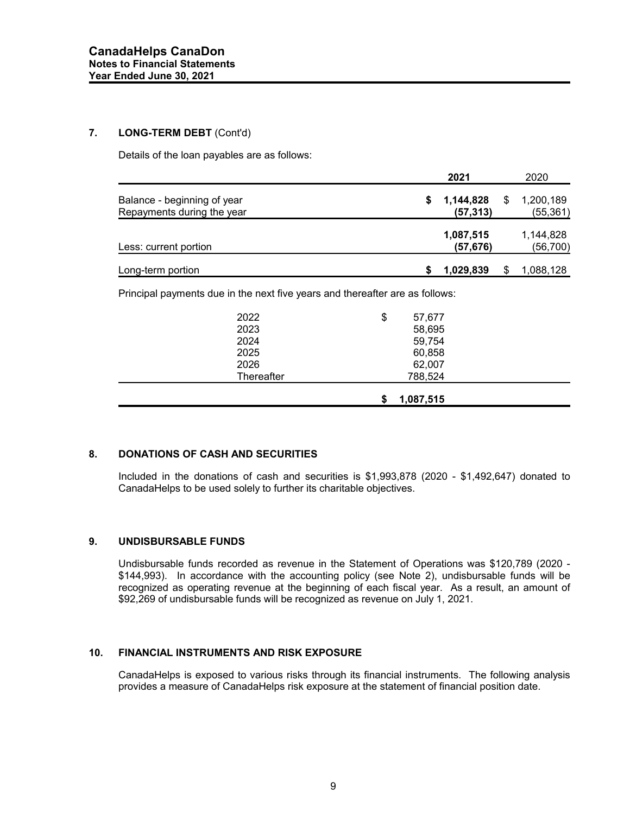# **7. LONG-TERM DEBT** (Cont'd)

Details of the loan payables are as follows:

|                                                           | 2021                   | 2020                         |
|-----------------------------------------------------------|------------------------|------------------------------|
| Balance - beginning of year<br>Repayments during the year | 1,144,828<br>(57, 313) | \$<br>1,200,189<br>(55, 361) |
|                                                           |                        |                              |
| Less: current portion                                     | 1,087,515<br>(57, 676) | 1,144,828<br>(56, 700)       |
| Long-term portion                                         | 1,029,839              | \$<br>1,088,128              |

Principal payments due in the next five years and thereafter are as follows:

| 2022       | \$<br>57,677 |  |
|------------|--------------|--|
| 2023       | 58,695       |  |
| 2024       | 59,754       |  |
| 2025       | 60,858       |  |
| 2026       | 62,007       |  |
| Thereafter | 788,524      |  |
|            |              |  |
|            | 1,087,515    |  |

# **8. DONATIONS OF CASH AND SECURITIES**

Included in the donations of cash and securities is \$1,993,878 (2020 - \$1,492,647) donated to CanadaHelps to be used solely to further its charitable objectives.

## **9. UNDISBURSABLE FUNDS**

Undisbursable funds recorded as revenue in the Statement of Operations was \$120,789 (2020 - \$144,993). In accordance with the accounting policy (see Note 2), undisbursable funds will be recognized as operating revenue at the beginning of each fiscal year. As a result, an amount of \$92,269 of undisbursable funds will be recognized as revenue on July 1, 2021.

# **10. FINANCIAL INSTRUMENTS AND RISK EXPOSURE**

CanadaHelps is exposed to various risks through its financial instruments. The following analysis provides a measure of CanadaHelps risk exposure at the statement of financial position date.